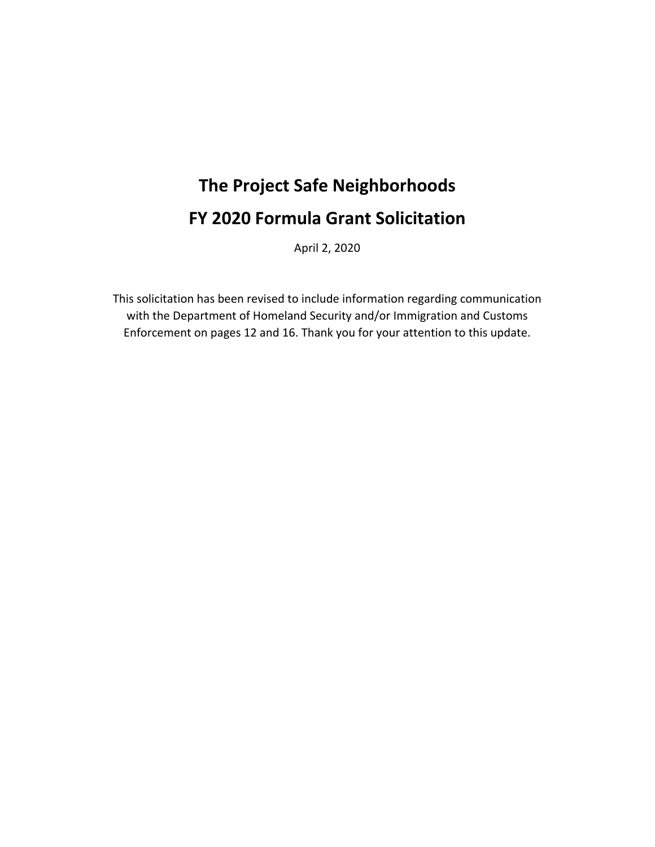# **The Project Safe Neighborhoods FY 2020 Formula Grant Solicitation**

April 2, 2020

This solicitation has been revised to include information regarding communication with the Department of Homeland Security and/or Immigration and Customs Enforcement on pages 12 and 16. Thank you for your attention to this update.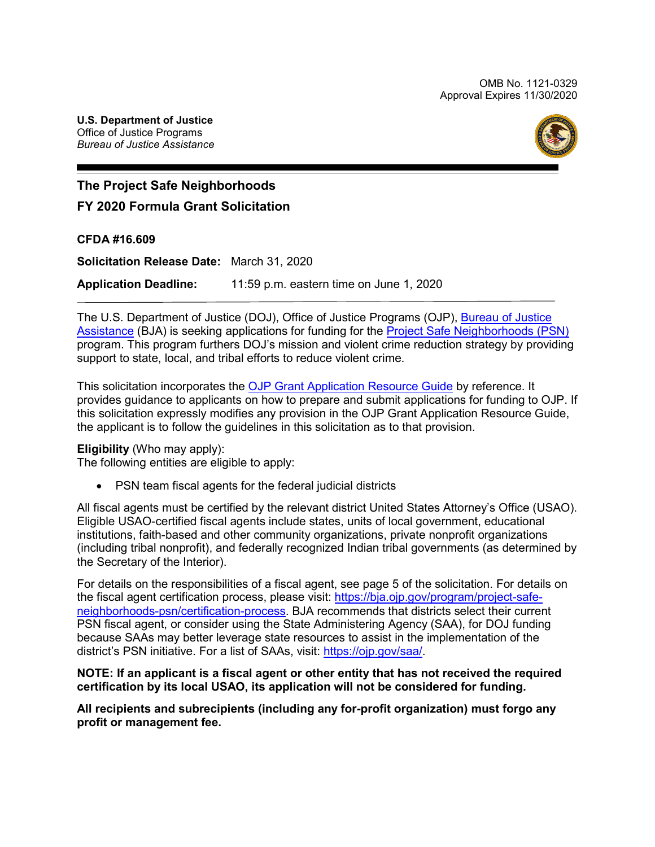OMB No. 1121-0329 Approval Expires 11/30/2020



## **The Project Safe Neighborhoods**

## **FY 2020 Formula Grant Solicitation**

## **CFDA #16.609**

**Solicitation Release Date:** March 31, 2020 **Application Deadline:** 11:59 p.m. eastern time on June 1, 2020

The [U.S. Department of Justice](https://www.usdoj.gov/) (DOJ), [Office of Justice Programs](https://www.ojp.usdoj.gov/) (OJP), <u>Bureau of Justice</u> [Assistance](https://www.bja.gov/) (BJA) is seeking applications for funding for the <u>Project Safe Neighborhoods (PSN)</u> program. This program furthers DOJ's mission and violent crime reduction strategy by providing support to state, local, and tribal efforts to reduce violent crime.

 the applicant is to follow the guidelines in this solicitation as to that provision. This solicitation incorporates the [OJP Grant Application Resource Guide](https://www.ojp.gov/funding/Apply/Resources/Grant-App-Resource-Guide.htm) by reference. It provides guidance to applicants on how to prepare and submit applications for funding to OJP. If this solicitation expressly modifies any provision in the OJP Grant Application Resource Guide,

#### **Eligibility** (Who may apply):

The following entities are eligible to apply:

• PSN team fiscal agents for the federal judicial districts

 All fiscal agents must be certified by the relevant district United States Attorney's Office (USAO). (including tribal nonprofit), and federally recognized Indian tribal governments (as determined by Eligible USAO-certified fiscal agents include states, units of local government, educational institutions, faith-based and other community organizations, private nonprofit organizations the Secretary of the Interior).

 [neighborhoods-psn/certification-process.](https://bja.ojp.gov/program/project-safe-neighborhoods-psn/certification-process) BJA recommends that districts select their current For details on the responsibilities of a fiscal agent, see page 5 of the solicitation. For details on the fiscal agent certification process, please visit: [https://bja.ojp.gov/program/project-safe-](https://bja.ojp.gov/program/project-safe-neighborhoods-psn/certification-process)PSN fiscal agent, or consider using the State Administering Agency (SAA), for DOJ funding because SAAs may better leverage state resources to assist in the implementation of the district's PSN initiative. For a list of SAAs, visit: [https://ojp.gov/saa/.](https://ojp.gov/saa/)

#### **NOTE: If an applicant is a fiscal agent or other entity that has not received the required certification by its local USAO, its application will not be considered for funding.**

**All recipients and subrecipients (including any for-profit organization) must forgo any profit or management fee.**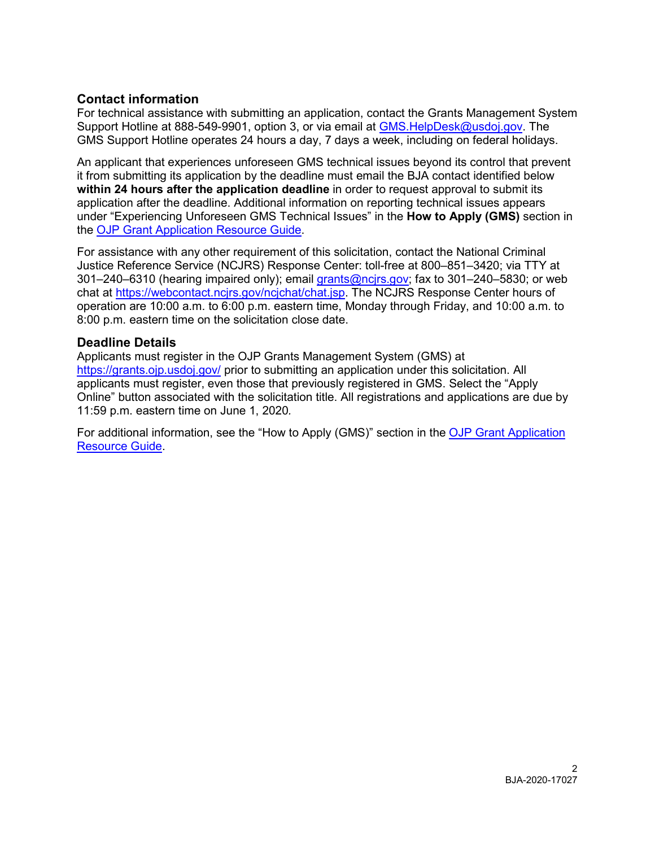## **Contact information**

For technical assistance with submitting an application, contact the Grants Management System Support Hotline at 888-549-9901, option 3, or via email at [GMS.HelpDesk@usdoj.gov.](mailto:GMS.HelpDesk@usdoj.gov) The GMS Support Hotline operates 24 hours a day, 7 days a week, including on federal holidays.

An applicant that experiences unforeseen GMS technical issues beyond its control that prevent it from submitting its application by the deadline must email the BJA contact identified below **within 24 hours after the application deadline** in order to request approval to submit its application after the deadline. Additional information on reporting technical issues appears under "Experiencing Unforeseen GMS Technical Issues" in the **How to Apply (GMS)** section in the [OJP Grant Application Resource Guide.](https://www.ojp.gov/funding/Apply/Resources/Grant-App-Resource-Guide.htm#howToApplyGMS)

 For assistance with any other requirement of this solicitation, contact the National Criminal Justice Reference Service (NCJRS) Response Center: toll-free at 800–851–3420; via TTY at 301–240–6310 (hearing impaired only); email grants@ncirs.gov; fax to 301–240–5830; or web chat at [https://webcontact.ncjrs.gov/ncjchat/chat.jsp.](https://webcontact.ncjrs.gov/ncjchat/chat.jsp) The NCJRS Response Center hours of operation are 10:00 a.m. to 6:00 p.m. eastern time, Monday through Friday, and 10:00 a.m. to 8:00 p.m. eastern time on the solicitation close date.

## **Deadline Details**

 applicants must register, even those that previously registered in GMS. Select the "Apply Applicants must register in the OJP Grants Management System (GMS) at <https://grants.ojp.usdoj.gov>[/](https://grants.ojp.usdoj.gov/) prior to submitting an application under this solicitation. All Online" button associated with the solicitation title. All registrations and applications are due by 11:59 p.m. eastern time on June 1, 2020*.* 

For additional information, see the "How to Apply (GMS)" section in the [OJP Grant Application](https://www.ojp.gov/funding/Apply/Resources/Grant-App-Resource-Guide.htm#howToApplyGMS)  [Resource Guide.](https://www.ojp.gov/funding/Apply/Resources/Grant-App-Resource-Guide.htm#howToApplyGMS)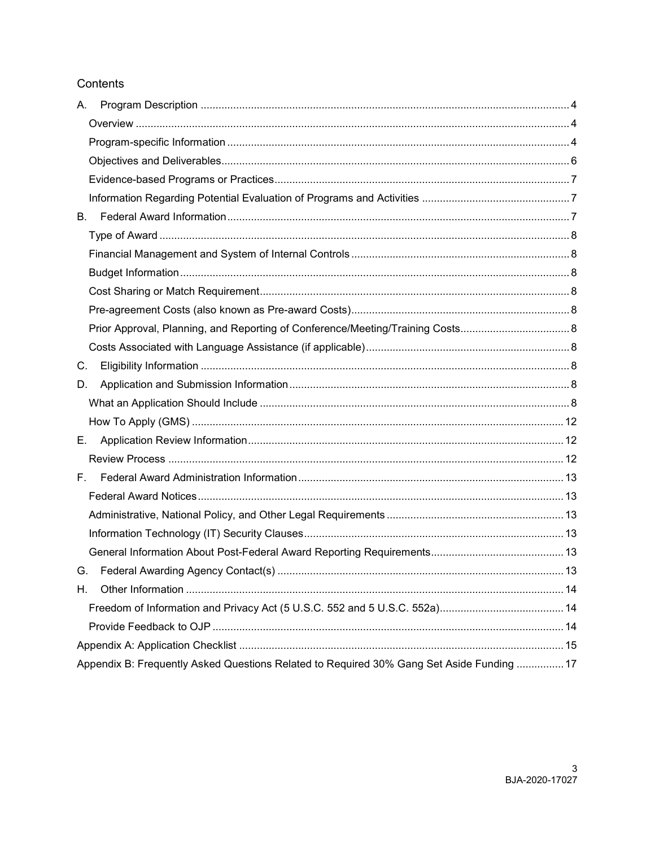## Contents

| А.                                                                                        |  |
|-------------------------------------------------------------------------------------------|--|
|                                                                                           |  |
|                                                                                           |  |
|                                                                                           |  |
|                                                                                           |  |
|                                                                                           |  |
| В.                                                                                        |  |
|                                                                                           |  |
|                                                                                           |  |
|                                                                                           |  |
|                                                                                           |  |
|                                                                                           |  |
| Prior Approval, Planning, and Reporting of Conference/Meeting/Training Costs 8            |  |
|                                                                                           |  |
| C.                                                                                        |  |
| D.                                                                                        |  |
|                                                                                           |  |
|                                                                                           |  |
| Е.                                                                                        |  |
|                                                                                           |  |
| F.                                                                                        |  |
|                                                                                           |  |
|                                                                                           |  |
|                                                                                           |  |
|                                                                                           |  |
| G.                                                                                        |  |
| Η.                                                                                        |  |
|                                                                                           |  |
|                                                                                           |  |
|                                                                                           |  |
| Appendix B: Frequently Asked Questions Related to Required 30% Gang Set Aside Funding  17 |  |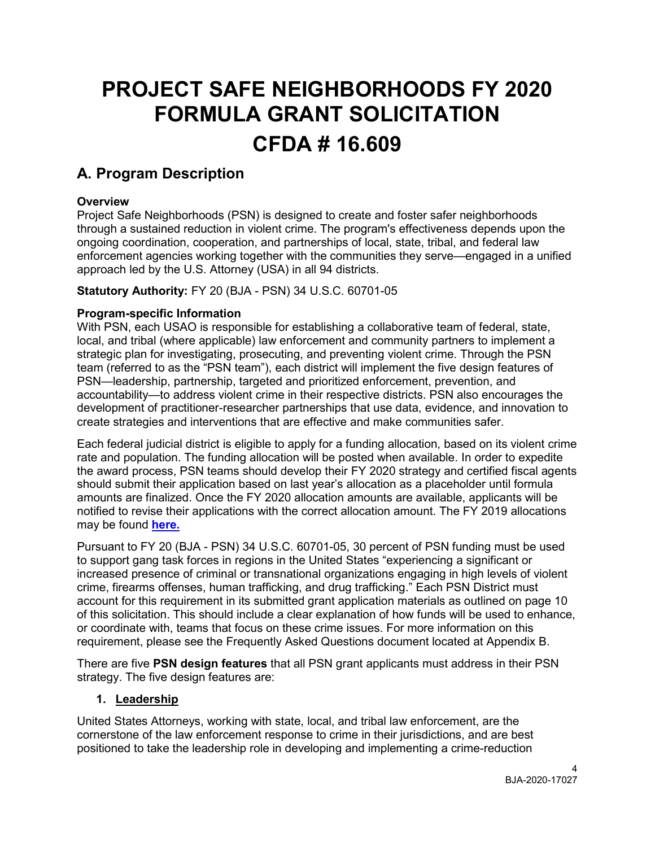# **PROJECT SAFE NEIGHBORHOODS FY 2020 FORMULA GRANT SOLICITATION CFDA # 16.609**

# <span id="page-4-0"></span>**A. Program Description**

## <span id="page-4-1"></span>**Overview**

 ongoing coordination, cooperation, and partnerships of local, state, tribal, and federal law Project Safe Neighborhoods (PSN) is designed to create and foster safer neighborhoods through a sustained reduction in violent crime. The program's effectiveness depends upon the enforcement agencies working together with the communities they serve—engaged in a unified approach led by the U.S. Attorney (USA) in all 94 districts.

**Statutory Authority:** FY 20 (BJA - PSN) 34 U.S.C. 60701-05

## <span id="page-4-2"></span>**Program-specific Information**

 With PSN, each USAO is responsible for establishing a collaborative team of federal, state, team (referred to as the "PSN team"), each district will implement the five design features of accountability—to address violent crime in their respective districts. PSN also encourages the local, and tribal (where applicable) law enforcement and community partners to implement a strategic plan for investigating, prosecuting, and preventing violent crime. Through the PSN PSN—leadership, partnership, targeted and prioritized enforcement, prevention, and development of practitioner-researcher partnerships that use data, evidence, and innovation to create strategies and interventions that are effective and make communities safer.

 Each federal judicial district is eligible to apply for a funding allocation, based on its violent crime rate and population. The funding allocation will be posted when available. In order to expedite the award process, PSN teams should develop their FY 2020 strategy and certified fiscal agents should submit their application based on last year's allocation as a placeholder until formula amounts are finalized. Once the FY 2020 allocation amounts are available, applicants will be notified to revise their applications with the correct allocation amount. The FY 2019 allocations may be found **[here.](https://bja.ojp.gov/sites/g/files/xyckuh186/files/media/document/fy-2019-psn-funding-allocation-amounts_final.pdf)** 

 Pursuant to FY 20 (BJA - PSN) 34 U.S.C. 60701-05, 30 percent of PSN funding must be used to support gang task forces in regions in the United States "experiencing a significant or increased presence of criminal or transnational organizations engaging in high levels of violent account for this requirement in its submitted grant application materials as outlined on page 10 or coordinate with, teams that focus on these crime issues. For more information on this crime, firearms offenses, human trafficking, and drug trafficking." Each PSN District must of this solicitation. This should include a clear explanation of how funds will be used to enhance, requirement, please see the Frequently Asked Questions document located at Appendix B.

There are five **PSN design features** that all PSN grant applicants must address in their PSN strategy. The five design features are:

## **1. Leadership**

United States Attorneys, working with state, local, and tribal law enforcement, are the cornerstone of the law enforcement response to crime in their jurisdictions, and are best positioned to take the leadership role in developing and implementing a crime-reduction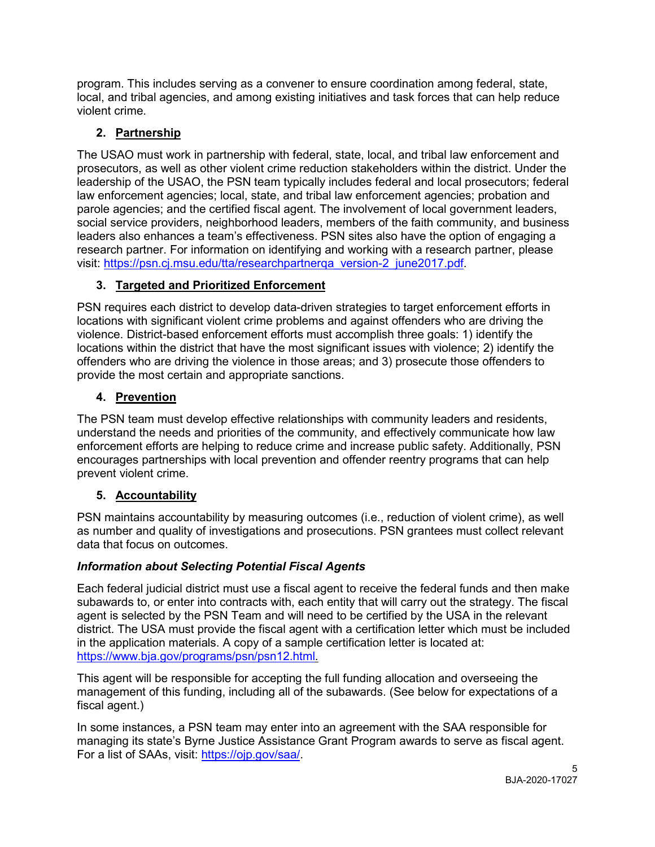program. This includes serving as a convener to ensure coordination among federal, state, local, and tribal agencies, and among existing initiatives and task forces that can help reduce violent crime.

## **2. Partnership**

 leadership of the USAO, the PSN team typically includes federal and local prosecutors; federal The USAO must work in partnership with federal, state, local, and tribal law enforcement and prosecutors, as well as other violent crime reduction stakeholders within the district. Under the law enforcement agencies; local, state, and tribal law enforcement agencies; probation and parole agencies; and the certified fiscal agent. The involvement of local government leaders, social service providers, neighborhood leaders, members of the faith community, and business leaders also enhances a team's effectiveness. PSN sites also have the option of engaging a research partner. For information on identifying and working with a research partner, please visit: [https://psn.cj.msu.edu/tta/researchpartnerqa\\_version-2\\_june2017.pdf.](https://psn.cj.msu.edu/tta/researchpartnerqa_version-2_june2017.pdf)

## **3. Targeted and Prioritized Enforcement**

 violence. District-based enforcement efforts must accomplish three goals: 1) identify the PSN requires each district to develop data-driven strategies to target enforcement efforts in locations with significant violent crime problems and against offenders who are driving the locations within the district that have the most significant issues with violence; 2) identify the offenders who are driving the violence in those areas; and 3) prosecute those offenders to provide the most certain and appropriate sanctions.

## **4. Prevention**

The PSN team must develop effective relationships with community leaders and residents, understand the needs and priorities of the community, and effectively communicate how law enforcement efforts are helping to reduce crime and increase public safety. Additionally, PSN encourages partnerships with local prevention and offender reentry programs that can help prevent violent crime.

## **5. Accountability**

 as number and quality of investigations and prosecutions. PSN grantees must collect relevant data that focus on outcomes. PSN maintains accountability by measuring outcomes (i.e., reduction of violent crime), as well

## *Information about Selecting Potential Fiscal Agents*

 Each federal judicial district must use a fiscal agent to receive the federal funds and then make subawards to, or enter into contracts with, each entity that will carry out the strategy. The fiscal agent is selected by the PSN Team and will need to be certified by the USA in the relevant district. The USA must provide the fiscal agent with a certification letter which must be included in the application materials. A copy of a sample certification letter is located at: [https://www.bja.gov/programs/psn/psn12.html.](https://www.bja.gov/programs/psn/psn12.html)

 This agent will be responsible for accepting the full funding allocation and overseeing the management of this funding, including all of the subawards. (See below for expectations of a fiscal agent.)

 managing its state's Byrne Justice Assistance Grant Program awards to serve as fiscal agent. For a list of SAAs, visit: <u>https://ojp.gov/saa/</u>.<br>5<br>BJA-2020-17027 In some instances, a PSN team may enter into an agreement with the SAA responsible for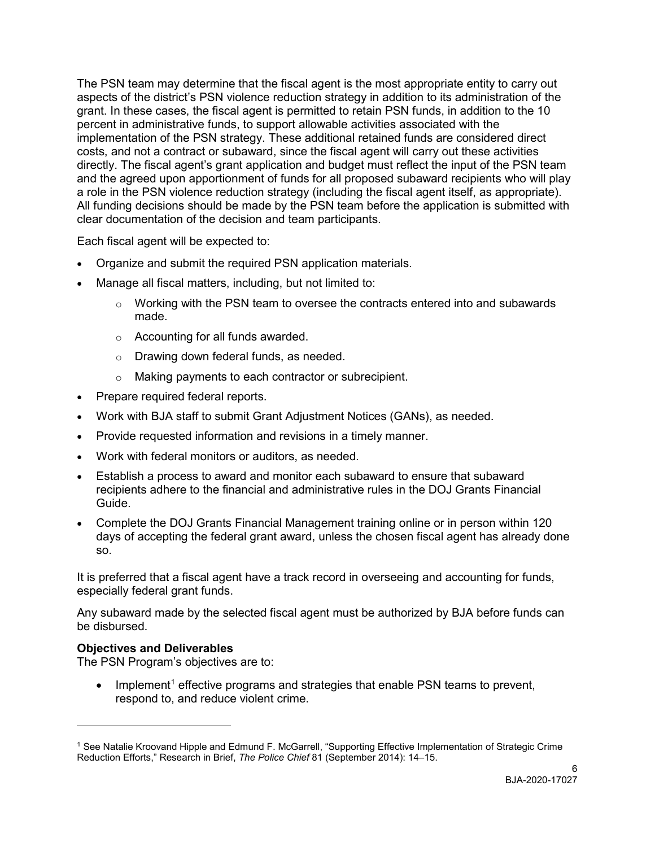directly. The fiscal agent's grant application and budget must reflect the input of the PSN team clear documentation of the decision and team participants.<br>Each fiscal agent will be expected to: The PSN team may determine that the fiscal agent is the most appropriate entity to carry out aspects of the district's PSN violence reduction strategy in addition to its administration of the grant. In these cases, the fiscal agent is permitted to retain PSN funds, in addition to the 10 percent in administrative funds, to support allowable activities associated with the implementation of the PSN strategy. These additional retained funds are considered direct costs, and not a contract or subaward, since the fiscal agent will carry out these activities and the agreed upon apportionment of funds for all proposed subaward recipients who will play a role in the PSN violence reduction strategy (including the fiscal agent itself, as appropriate). All funding decisions should be made by the PSN team before the application is submitted with

- Organize and submit the required PSN application materials.
- Manage all fiscal matters, including, but not limited to:
	- $\circ$  Working with the PSN team to oversee the contracts entered into and subawards made.
	- o Accounting for all funds awarded.
	- o Drawing down federal funds, as needed.
	- o Making payments to each contractor or subrecipient.
- Prepare required federal reports.
- Work with BJA staff to submit Grant Adjustment Notices (GANs), as needed.
- Provide requested information and revisions in a timely manner.
- Work with federal monitors or auditors, as needed.
- recipients adhere to the financial and administrative rules in the DOJ Grants Financial • Establish a process to award and monitor each subaward to ensure that subaward Guide.
- days of accepting the federal grant award, unless the chosen fiscal agent has already done • Complete the DOJ Grants Financial Management training online or in person within 120 so.

 It is preferred that a fiscal agent have a track record in overseeing and accounting for funds, especially federal grant funds.

Any subaward made by the selected fiscal agent must be authorized by BJA before funds can be disbursed.

## <span id="page-6-0"></span>**Objectives and Deliverables**

 $\overline{a}$ 

The PSN Program's objectives are to:

• Implement<sup>1</sup> effective programs and strategies that enable PSN teams to prevent, respond to, and reduce violent crime.

<span id="page-6-1"></span><sup>1</sup> See Natalie Kroovand Hipple and Edmund F. McGarrell, "Supporting Effective Implementation of Strategic Crime Reduction Efforts," Research in Brief, *The Police Chief* 81 (September 2014): 14–15.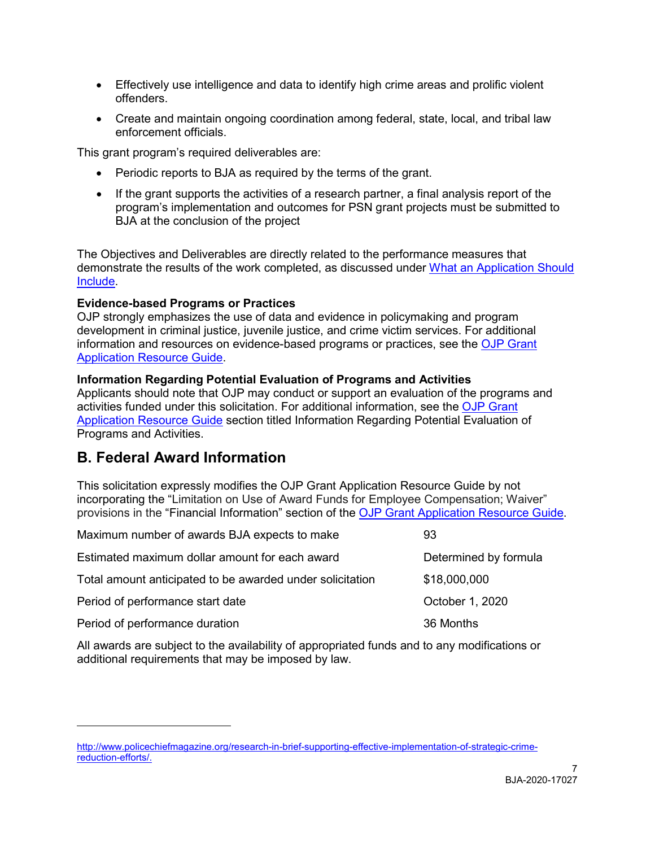- Effectively use intelligence and data to identify high crime areas and prolific violent offenders.
- Create and maintain ongoing coordination among federal, state, local, and tribal law enforcement officials.

This grant program's required deliverables are:

- Periodic reports to BJA as required by the terms of the grant.
- • If the grant supports the activities of a research partner, a final analysis report of the program's implementation and outcomes for PSN grant projects must be submitted to BJA at the conclusion of the project

demonstrate the results of the work completed, as discussed under <u>What an Application Should</u> The Objectives and Deliverables are directly related to the performance measures that [Include.](#page-8-10)

## <span id="page-7-0"></span>**Evidence-based Programs or Practices**

OJP strongly emphasizes the use of data and evidence in policymaking and program development in criminal justice, juvenile justice, and crime victim services. For additional information and resources on evidence-based programs or practices, see the [OJP Grant](https://www.ojp.gov/funding/Apply/Resources/Grant-App-Resource-Guide.htm#evidenceBased)  [Application Resource Guide.](https://www.ojp.gov/funding/Apply/Resources/Grant-App-Resource-Guide.htm#evidenceBased)

## <span id="page-7-1"></span>**Information Regarding Potential Evaluation of Programs and Activities**

 Applicants should note that OJP may conduct or support an evaluation of the programs and activities funded under this solicitation. For additional information, see the [OJP Grant](https://www.ojp.gov/funding/Apply/Resources/Grant-App-Resource-Guide.htm#potentialEvaluation)  [Application Resource Guide](https://www.ojp.gov/funding/Apply/Resources/Grant-App-Resource-Guide.htm#potentialEvaluation) section titled Information Regarding Potential Evaluation of Programs and Activities.

# <span id="page-7-2"></span>**B. Federal Award Information**

 $\overline{a}$ 

 This solicitation expressly modifies the OJP Grant Application Resource Guide by not incorporating the "Limitation on Use of Award Funds for Employee Compensation; Waiver" provisions in the "Financial Information" section of the [OJP Grant Application Resource Guide.](https://www.ojp.gov/funding/Apply/Resources/Grant-App-Resource-Guide.htm#UseOfAwardFunds)

| Maximum number of awards BJA expects to make              | 93                    |
|-----------------------------------------------------------|-----------------------|
| Estimated maximum dollar amount for each award            | Determined by formula |
| Total amount anticipated to be awarded under solicitation | \$18,000,000          |
| Period of performance start date                          | October 1, 2020       |
| Period of performance duration                            | 36 Months             |

All awards are subject to the availability of appropriated funds and to any modifications or additional requirements that may be imposed by law.

reduction-efforts/. [http://www.policechiefmagazine.org/research-in-brief-supporting-effective-implementation-of-strategic-crime](http://www.policechiefmagazine.org/research-in-brief-supporting-effective-implementation-of-strategic-crime-reduction-efforts/)[reduction-efforts/.](http://www.policechiefmagazine.org/research-in-brief-supporting-effective-implementation-of-strategic-crime-reduction-efforts/) BJA-2020-17027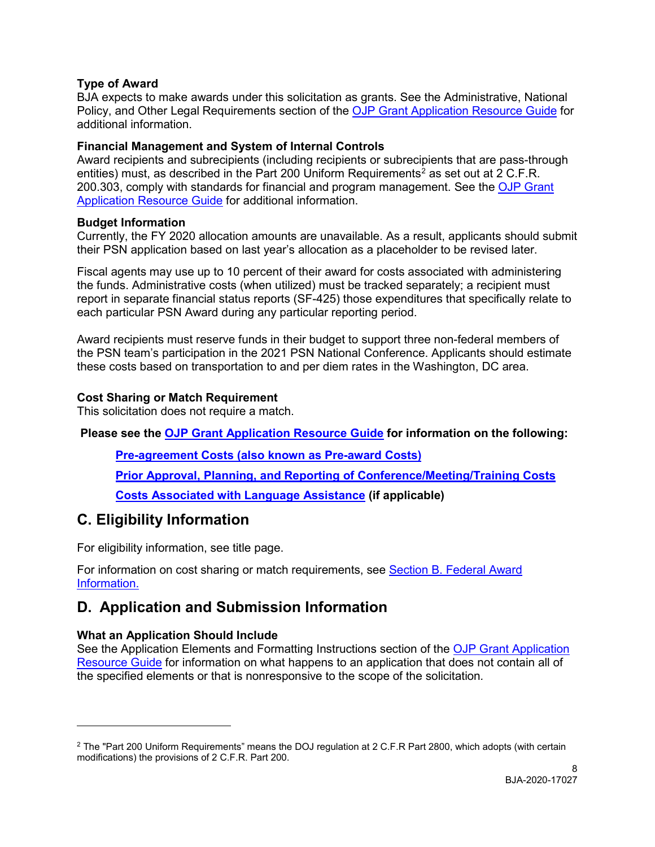## <span id="page-8-0"></span>**Type of Award**

 BJA expects to make awards under this solicitation as grants. See the Administrative, National Policy, and Other Legal Requirements section of the [OJP Grant Application Resource Guide](https://www.ojp.gov/funding/Apply/Resources/Grant-App-Resource-Guide.htm#otherLegalRequirements) for additional information.

## <span id="page-8-1"></span> **Financial Management and System of Internal Controls**

entities) must, as described in the Part [2](#page-8-12)00 Uniform Requirements<sup>2</sup> as set out at 2 C.F.R. 200.303, comply with standards for financial and program management. See the <mark>OJP Grant</mark> [Application Resource Guide](https://www.ojp.gov/funding/Apply/Resources/Grant-App-Resource-Guide.htm#financialManagement) for additional information. Award recipients and subrecipients (including recipients or subrecipients that are pass-through

## <span id="page-8-2"></span>**Budget Information**

Currently, the FY 2020 allocation amounts are unavailable. As a result, applicants should submit their PSN application based on last year's allocation as a placeholder to be revised later.

 the funds. Administrative costs (when utilized) must be tracked separately; a recipient must Fiscal agents may use up to 10 percent of their award for costs associated with administering report in separate financial status reports (SF-425) those expenditures that specifically relate to each particular PSN Award during any particular reporting period.

 these costs based on transportation to and per diem rates in the Washington, DC area. Award recipients must reserve funds in their budget to support three non-federal members of the PSN team's participation in the 2021 PSN National Conference. Applicants should estimate

## <span id="page-8-11"></span><span id="page-8-3"></span>**Cost Sharing or Match Requirement**

This solicitation does not require a match.

 **Please see the [OJP Grant Application Resource Guide](https://ojp.gov/funding/Apply/Resources/Grant-App-Resource-Guide.htm) for information on the following:** 

<span id="page-8-4"></span>**[Pre-agreement Costs \(also known as Pre-award Costs\)](https://www.ojp.gov/funding/Apply/Resources/Grant-App-Resource-Guide.htm#pre-agreement)** 

<span id="page-8-5"></span>**[Prior Approval, Planning, and Reporting of Conference/Meeting/Training Costs](https://www.ojp.gov/funding/Apply/Resources/Grant-App-Resource-Guide.htm#reportingCosts)** 

<span id="page-8-6"></span>**[Costs Associated with Language Assistance](https://www.ojp.gov/funding/Apply/Resources/Grant-App-Resource-Guide.htm#languageAssistance) (if applicable)** 

# <span id="page-8-7"></span>**C. Eligibility Information**

For eligibility information, see title page.

For information on cost sharing or match requirements, see [Section B. Federal Award](#page-8-11)  [Information.](#page-8-11) 

# <span id="page-8-10"></span><span id="page-8-8"></span>**D. Application and Submission Information**

## <span id="page-8-9"></span>**What an Application Should Include**

-

See the Application Elements and Formatting Instructions section of the [OJP Grant Application](https://www.ojp.gov/funding/Apply/Resources/Grant-App-Resource-Guide.htm#formatInstructions)  [Resource Guide](https://www.ojp.gov/funding/Apply/Resources/Grant-App-Resource-Guide.htm#formatInstructions) for information on what happens to an application that does not contain all of the specified elements or that is nonresponsive to the scope of the solicitation*.* 

<span id="page-8-12"></span><sup>&</sup>lt;sup>2</sup> The "Part 200 Uniform Requirements" means the DOJ regulation at 2 C.F.R Part 2800, which adopts (with certain modifications) the provisions of 2 C.F.R. Part 200.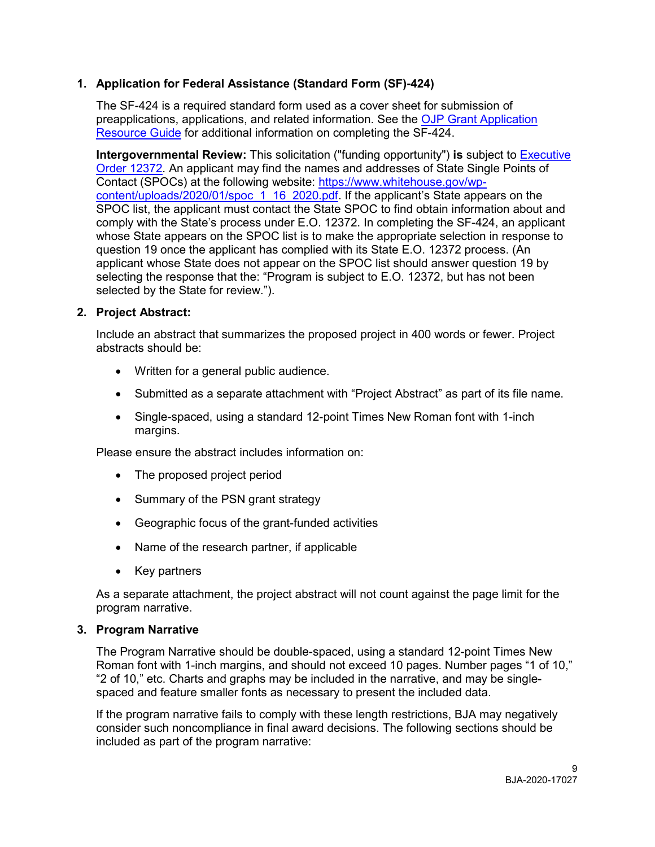## **1. Application for Federal Assistance (Standard Form (SF)-424)**

The SF-424 is a required standard form used as a cover sheet for submission of preapplications, applications, and related information. See the [OJP Grant Application](https://www.ojp.gov/funding/apply/ojp-grant-application-resource-guide#completeApplication)  [Resource Guide](https://www.ojp.gov/funding/apply/ojp-grant-application-resource-guide#completeApplication) for additional information on completing the SF-424.

[Order 12372.](https://www.archives.gov/federal-register/codification/executive-order/12372.html) An applicant may find the names and addresses of State Single Points of SPOC list, the applicant must contact the State SPOC to find obtain information about and applicant whose State does not appear on the SPOC list should answer question 19 by **Intergovernmental Review:** This solicitation ("funding opportunity") **is** subject to [Executive](https://www.archives.gov/federal-register/codification/executive-order/12372.html)  Contact (SPOCs) at the following website: [https://www.whitehouse.gov/wp](https://www.whitehouse.gov/wp-content/uploads/2020/01/spoc_1_16_2020.pdf)[content/uploads/2020/01/spoc\\_1\\_16\\_2020.pdf.](https://www.whitehouse.gov/wp-content/uploads/2020/01/spoc_1_16_2020.pdf) If the applicant's State appears on the comply with the State's process under E.O. 12372. In completing the SF-424, an applicant whose State appears on the SPOC list is to make the appropriate selection in response to question 19 once the applicant has complied with its State E.O. 12372 process. (An selecting the response that the: "Program is subject to E.O. 12372, but has not been selected by the State for review.").

#### **2. Project Abstract:**

 Include an abstract that summarizes the proposed project in 400 words or fewer. Project abstracts should be:

- Written for a general public audience.
- Submitted as a separate attachment with "Project Abstract" as part of its file name.
- Single-spaced, using a standard 12-point Times New Roman font with 1-inch margins.

Please ensure the abstract includes information on:

- The proposed project period
- Summary of the PSN grant strategy
- Geographic focus of the grant-funded activities
- Name of the research partner, if applicable
- Key partners

 As a separate attachment, the project abstract will not count against the page limit for the program narrative.

#### **3. Program Narrative**

The Program Narrative should be double-spaced, using a standard 12-point Times New Roman font with 1-inch margins, and should not exceed 10 pages. Number pages "1 of 10," "2 of 10," etc. Charts and graphs may be included in the narrative, and may be singlespaced and feature smaller fonts as necessary to present the included data.

 If the program narrative fails to comply with these length restrictions, BJA may negatively consider such noncompliance in final award decisions. The following sections should be included as part of the program narrative: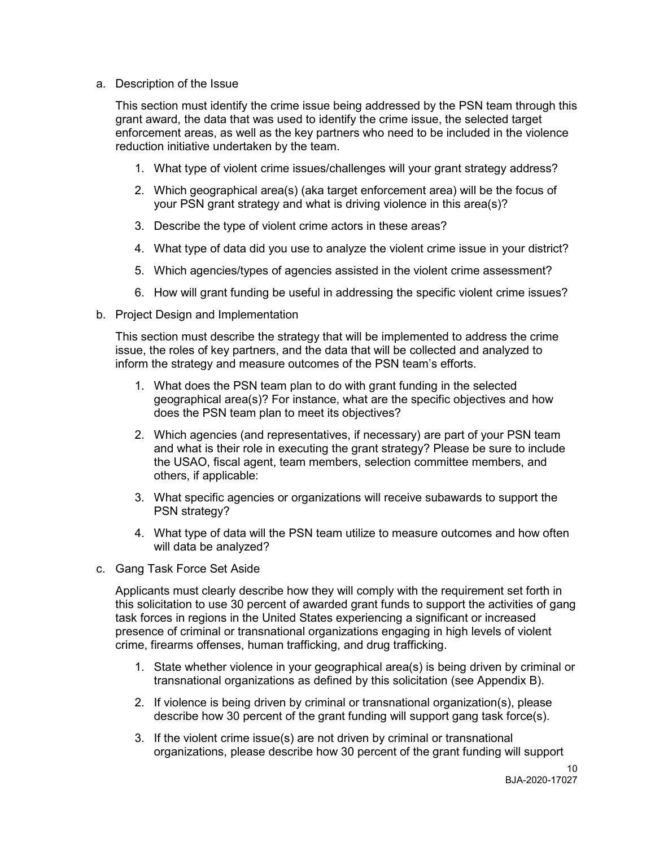a. Description of the Issue

a. Description of the Issue<br>This section must identify the crime issue being addressed by the PSN team through this reduction initiative undertaken by the team. grant award, the data that was used to identify the crime issue, the selected target enforcement areas, as well as the key partners who need to be included in the violence

- 1. What type of violent crime issues/challenges will your grant strategy address?
- 2. Which geographical area(s) (aka target enforcement area) will be the focus of your PSN grant strategy and what is driving violence in this area(s)?
- 3. Describe the type of violent crime actors in these areas?
- 4. What type of data did you use to analyze the violent crime issue in your district?
- 5. Which agencies/types of agencies assisted in the violent crime assessment?
- 6. How will grant funding be useful in addressing the specific violent crime issues?
- b. Project Design and Implementation

 issue, the roles of key partners, and the data that will be collected and analyzed to inform the strategy and measure outcomes of the PSN team's efforts. This section must describe the strategy that will be implemented to address the crime

- 1. What does the PSN team plan to do with grant funding in the selected geographical area(s)? For instance, what are the specific objectives and how does the PSN team plan to meet its objectives?
- 2. Which agencies (and representatives, if necessary) are part of your PSN team and what is their role in executing the grant strategy? Please be sure to include the USAO, fiscal agent, team members, selection committee members, and others, if applicable:
- 3. What specific agencies or organizations will receive subawards to support the PSN strategy?
- 4. What type of data will the PSN team utilize to measure outcomes and how often will data be analyzed?
- c. Gang Task Force Set Aside

 this solicitation to use 30 percent of awarded grant funds to support the activities of gang presence of criminal or transnational organizations engaging in high levels of violent Applicants must clearly describe how they will comply with the requirement set forth in task forces in regions in the United States experiencing a significant or increased crime, firearms offenses, human trafficking, and drug trafficking.

- 1. State whether violence in your geographical area(s) is being driven by criminal or transnational organizations as defined by this solicitation (see Appendix B).
- describe how 30 percent of the grant funding will support gang task force(s). 2. If violence is being driven by criminal or transnational organization(s), please
- organizations, please describe how 30 percent of the grant funding will support 3. If the violent crime issue(s) are not driven by criminal or transnational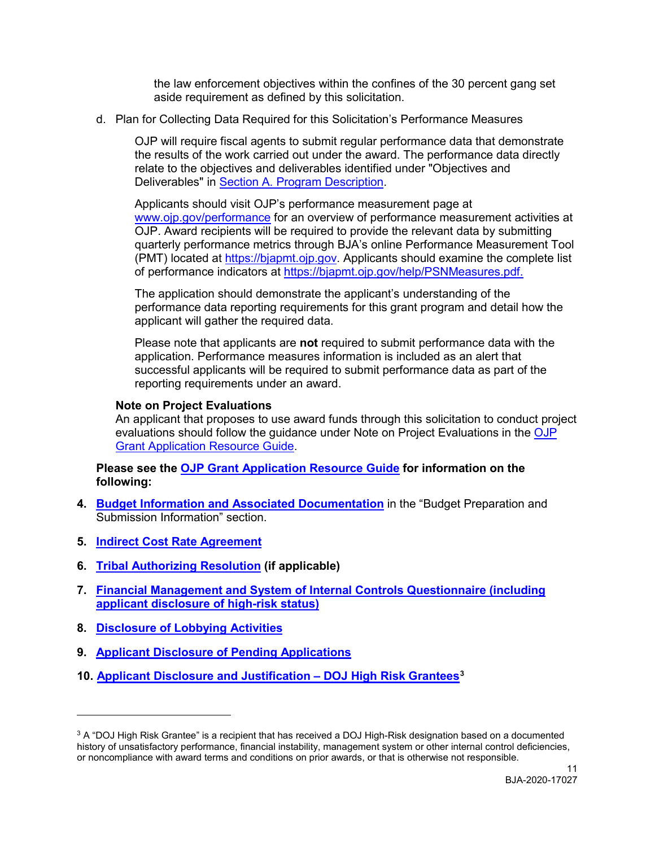the law enforcement objectives within the confines of the 30 percent gang set aside requirement as defined by this solicitation.

d. Plan for Collecting Data Required for this Solicitation's Performance Measures

OJP will require fiscal agents to submit regular performance data that demonstrate the results of the work carried out under the award. The performance data directly relate to the objectives and deliverables identified under "Objectives and Deliverables" in [Section A. Program Description.](#page-6-0)

 quarterly performance metrics through BJA's online Performance Measurement Tool Applicants should visit OJP's performance measurement page at [www.ojp.gov/performance](https://www.ojp.gov/performance) for an overview of performance measurement activities at OJP. Award recipients will be required to provide the relevant data by submitting (PMT) located at [https://bjapmt.ojp.gov.](https://bjapmt.ojp.gov/) Applicants should examine the complete list of performance indicators at [https://bjapmt.ojp.gov/help/PSNMeasures.pdf.](https://bjapmt.ojp.gov/help/PSNMeasures.pdf)

 performance data reporting requirements for this grant program and detail how the The application should demonstrate the applicant's understanding of the applicant will gather the required data.

 application. Performance measures information is included as an alert that Please note that applicants are **not** required to submit performance data with the successful applicants will be required to submit performance data as part of the reporting requirements under an award.

#### **Note on Project Evaluations**

An applicant that proposes to use award funds through this solicitation to conduct project evaluations should follow the guidance under Note on Project Evaluations in the [OJP](https://www.ojp.gov/funding/Apply/Resources/Grant-App-Resource-Guide.htm#projectEvaluation)  [Grant Application Resource Guide.](https://www.ojp.gov/funding/Apply/Resources/Grant-App-Resource-Guide.htm#projectEvaluation)

#### **Please see the [OJP Grant Application Resource Guide](https://ojp.gov/funding/Apply/Resources/Grant-App-Resource-Guide.htm) for information on the following:**

- **4. [Budget Information and Associated Documentation](https://www.ojp.gov/funding/Apply/Resources/Grant-App-Resource-Guide.htm#budgetInfo)** in the "Budget Preparation and Submission Information" section.
- **5. Indirect Cost Rate Agreement**
- **6. [Tribal Authorizing Resolution](https://www.ojp.gov/funding/Apply/Resources/Grant-App-Resource-Guide.htm#tribalAuthorizing) (if applicable)**
- **[7. Financial Management and System of Internal Controls Questionnaire \(including](https://www.ojp.gov/funding/Apply/Resources/Grant-App-Resource-Guide.htm#internalControlsQuestionnaire)  [applicant disclosure of high-risk status\)](https://www.ojp.gov/funding/Apply/Resources/Grant-App-Resource-Guide.htm#internalControlsQuestionnaire)**
- **8. [Disclosure of Lobbying Activities](https://www.ojp.gov/funding/Apply/Resources/Grant-App-Resource-Guide.htm#lobbyingActivity)**

-

- **9. [Applicant Disclosure of Pending Applications](https://www.ojp.gov/funding/Apply/Resources/Grant-App-Resource-Guide.htm#applicantDisclosure)**
- **10. [Applicant Disclosure and Justification DOJ High Risk Grantees](https://www.ojp.gov/funding/Apply/Resources/Grant-App-Resource-Guide.htm#applicantDisclosureHR)[3](#page-11-0)**

<span id="page-11-0"></span><sup>&</sup>lt;sup>3</sup> A "DOJ High Risk Grantee" is a recipient that has received a DOJ High-Risk designation based on a documented history of unsatisfactory performance, financial instability, management system or other internal control deficiencies, or noncompliance with award terms and conditions on prior awards, or that is otherwise not responsible.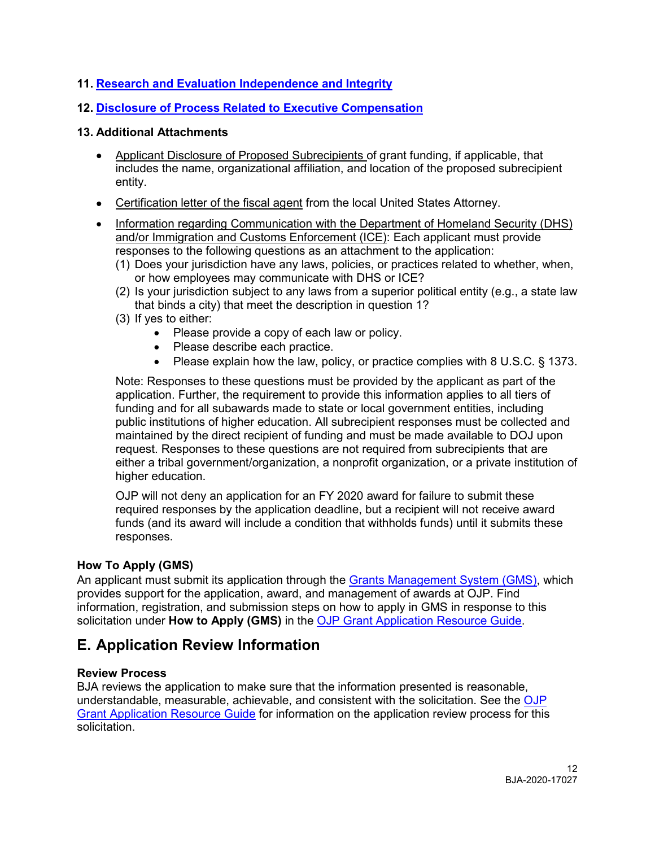## **11. [Research and Evaluation Independence and Integrity](https://www.ojp.gov/funding/Apply/Resources/Grant-App-Resource-Guide.htm#researchAndEvaluation)**

## **12. [Disclosure of Process Related to Executive Compensation](https://www.ojp.gov/funding/Apply/Resources/Grant-App-Resource-Guide.htm#processDisclosure)**

## **13. Additional Attachments**

- Applicant Disclosure of Proposed Subrecipients of grant funding, if applicable, that includes the name, organizational affiliation, and location of the proposed subrecipient entity.
- Certification letter of the fiscal agent from the local United States Attorney.
- Information regarding Communication with the Department of Homeland Security (DHS) and/or Immigration and Customs Enforcement (ICE): Each applicant must provide responses to the following questions as an attachment to the application:
	- (1) Does your jurisdiction have any laws, policies, or practices related to whether, when, or how employees may communicate with DHS or ICE?
	- (2) Is your jurisdiction subject to any laws from a superior political entity (e.g., a state law that binds a city) that meet the description in question 1?
	- (3) If yes to either:
		- Please provide a copy of each law or policy.
		- Please describe each practice.
		- Please explain how the law, policy, or practice complies with 8 U.S.C. § 1373.

 maintained by the direct recipient of funding and must be made available to DOJ upon higher education. Note: Responses to these questions must be provided by the applicant as part of the application. Further, the requirement to provide this information applies to all tiers of funding and for all subawards made to state or local government entities, including public institutions of higher education. All subrecipient responses must be collected and request. Responses to these questions are not required from subrecipients that are either a tribal government/organization, a nonprofit organization, or a private institution of

 funds (and its award will include a condition that withholds funds) until it submits these OJP will not deny an application for an FY 2020 award for failure to submit these required responses by the application deadline, but a recipient will not receive award responses.

## <span id="page-12-0"></span>**How To Apply (GMS)**

An applicant must submit its application through the <u>Grants Management System (GMS)</u>, which provides support for the application, award, and management of awards at OJP. Find  solicitation under **How to Apply (GMS)** in the [OJP Grant Application Resource Guide.](https://www.ojp.gov/funding/Apply/Resources/Grant-App-Resource-Guide.htm#howToApplyGMS) information, registration, and submission steps on how to apply in GMS in response to this

# <span id="page-12-1"></span> **E. Application Review Information**

## <span id="page-12-2"></span>**Review Process**

[Grant Application Resource Guide](https://www.ojp.gov/funding/Apply/Resources/Grant-App-Resource-Guide.htm#applicationReview) for information on the application review process for this BJA reviews the application to make sure that the information presented is reasonable, understandable, measurable, achievable, and consistent with the solicitation. See the [OJP](https://www.ojp.gov/funding/Apply/Resources/Grant-App-Resource-Guide.htm#applicationReview)  solicitation.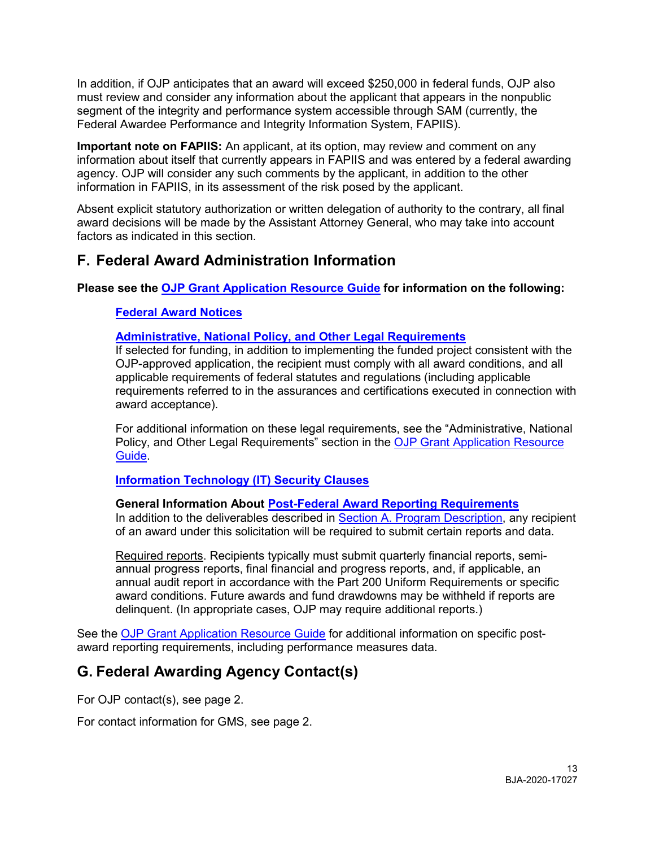In addition, if OJP anticipates that an award will exceed \$250,000 in federal funds, OJP also must review and consider any information about the applicant that appears in the nonpublic segment of the integrity and performance system accessible through SAM (currently, the Federal Awardee Performance and Integrity Information System, FAPIIS).

 information about itself that currently appears in FAPIIS and was entered by a federal awarding **Important note on FAPIIS:** An applicant, at its option, may review and comment on any agency. OJP will consider any such comments by the applicant, in addition to the other information in FAPIIS, in its assessment of the risk posed by the applicant.

 Absent explicit statutory authorization or written delegation of authority to the contrary, all final award decisions will be made by the Assistant Attorney General, who may take into account factors as indicated in this section.

# <span id="page-13-0"></span>**F. Federal Award Administration Information**

**Please see the [OJP Grant Application Resource Guide](https://ojp.gov/funding/Apply/Resources/Grant-App-Resource-Guide.htm) for information on the following:** 

## <span id="page-13-1"></span>**[Federal Award Notices](https://www.ojp.gov/funding/Apply/Resources/Grant-App-Resource-Guide.htm#awardNotices)**

## <span id="page-13-2"></span>**[Administrative, National Policy, and Other Legal Requirements](https://www.ojp.gov/funding/Apply/Resources/Grant-App-Resource-Guide.htm#otherLegalRequirements)**

 If selected for funding, in addition to implementing the funded project consistent with the OJP-approved application, the recipient must comply with all award conditions, and all applicable requirements of federal statutes and regulations (including applicable requirements referred to in the assurances and certifications executed in connection with award acceptance).

 For additional information on these legal requirements, see the "Administrative, National Policy, and Other Legal Requirements" section in the [OJP Grant Application Resource](https://www.ojp.gov/funding/Apply/Resources/Grant-App-Resource-Guide.htm)  [Guide.](https://www.ojp.gov/funding/Apply/Resources/Grant-App-Resource-Guide.htm)

## <span id="page-13-3"></span>**Information Technology (IT) Security Clauses**

## <span id="page-13-4"></span>**General Information About [Post-Federal Award Reporting Requirements](https://www.ojp.gov/funding/Apply/Resources/Grant-App-Resource-Guide.htm#awardReportingRequirements)**

In addition to the deliverables described in [Section A. Program Description,](#page-6-0) any recipient of an award under this solicitation will be required to submit certain reports and data.

 annual progress reports, final financial and progress reports, and, if applicable, an delinquent. (In appropriate cases, OJP may require additional reports.) Required reports. Recipients typically must submit quarterly financial reports, semiannual audit report in accordance with the Part 200 Uniform Requirements or specific award conditions. Future awards and fund drawdowns may be withheld if reports are

See the [OJP Grant Application Resource Guide](https://www.ojp.gov/funding/Apply/Resources/Grant-App-Resource-Guide.htm#awardReportingRequirements) for additional information on specific postaward reporting requirements, including performance measures data.

# <span id="page-13-5"></span>**G. Federal Awarding Agency Contact(s)**

For OJP contact(s), see page 2.

For contact information for GMS, see page 2.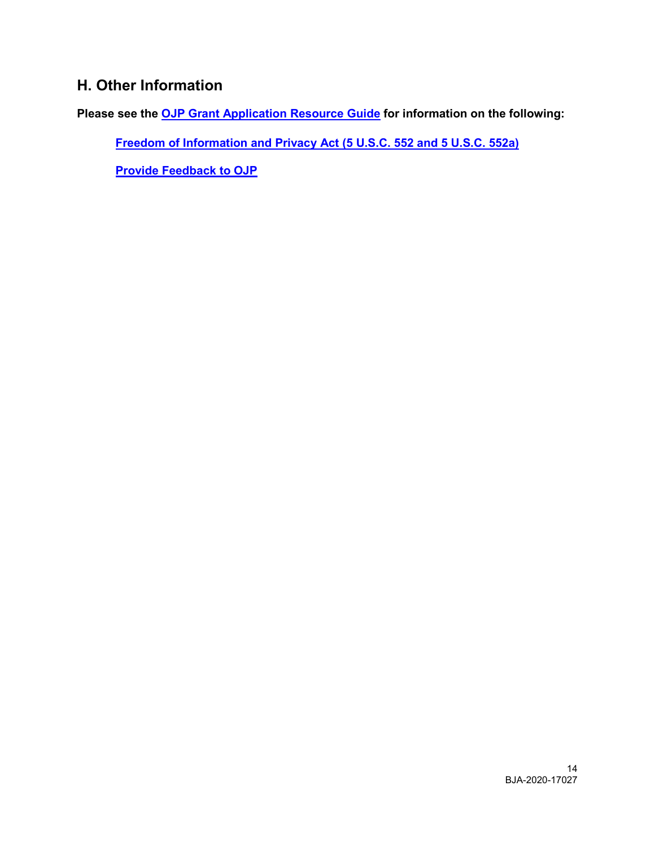# <span id="page-14-0"></span>**H. Other Information**

**Please see the [OJP Grant Application Resource Guide](https://ojp.gov/funding/Apply/Resources/Grant-App-Resource-Guide.htm) for information on the following:** 

<span id="page-14-1"></span>**[Freedom of Information and Privacy Act \(5 U.S.C. 552 and 5 U.S.C. 552a\)](https://www.ojp.gov/funding/Apply/Resources/Grant-App-Resource-Guide.htm#foia)** 

<span id="page-14-2"></span>**[Provide Feedback to OJP](https://www.ojp.gov/funding/Apply/Resources/Grant-App-Resource-Guide.htm#feedback)**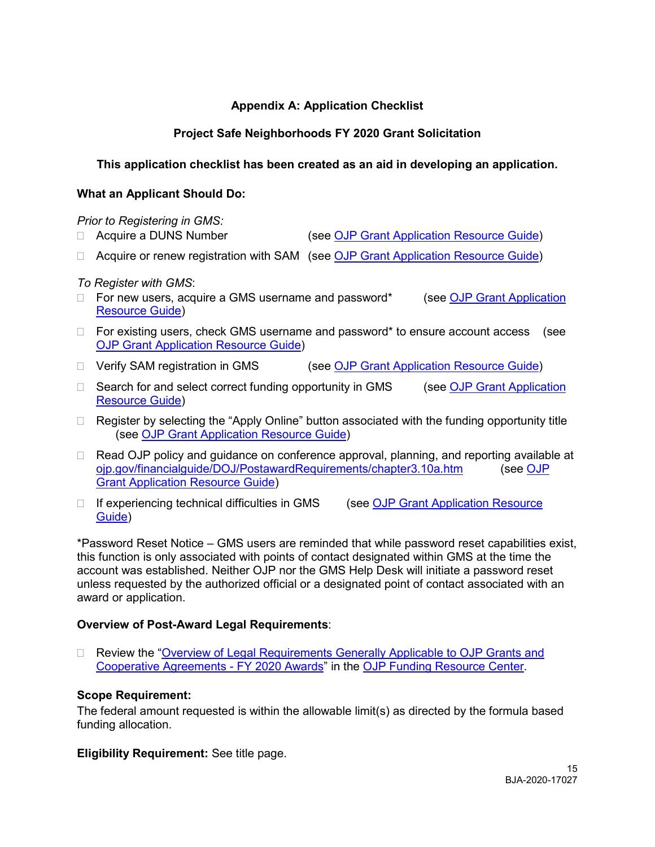## **Appendix A: Application Checklist**

## **Project Safe Neighborhoods FY 2020 Grant Solicitation**

## <span id="page-15-0"></span>**This application checklist has been created as an aid in developing an application.**

#### **What an Applicant Should Do:**

#### *Prior to Registering in GMS:*

- Acquire a DUNS Number (see [OJP Grant Application Resource Guide\)](https://www.ojp.gov/funding/Apply/Resources/Grant-App-Resource-Guide.htm#howToApplyGMS)
- □ Acquire or renew registration with SAM (see [OJP Grant Application Resource Guide\)](https://www.ojp.gov/funding/Apply/Resources/Grant-App-Resource-Guide.htm#howToApplyGMS)

#### *To Register with GMS*:

- $\Box$  For new users, acquire a GMS username and password\* (see OJP Grant Application [Resource Guide\)](https://www.ojp.gov/funding/Apply/Resources/Grant-App-Resource-Guide.htm#howToApplyGMS)
- □ For existing users, check GMS username and password\* to ensure account access (see [OJP Grant Application Resource Guide\)](https://www.ojp.gov/funding/Apply/Resources/Grant-App-Resource-Guide.htm#howToApplyGMS)
- □ Verify SAM registration in GMS (see [OJP Grant Application Resource Guide\)](https://www.ojp.gov/funding/Apply/Resources/Grant-App-Resource-Guide.htm#howToApplyGMS)
- □ Search for and select correct funding opportunity in GMS (see OJP Grant Application [Resource Guide\)](https://www.ojp.gov/funding/Apply/Resources/Grant-App-Resource-Guide.htm#howToApplyGMS)
- $\Box$  Register by selecting the "Apply Online" button associated with the funding opportunity title (see [OJP Grant Application Resource Guide\)](https://www.ojp.gov/funding/Apply/Resources/Grant-App-Resource-Guide.htm#howToApplyGMS)
- □ Read OJP policy and guidance on conference approval, planning, and reporting available at [ojp.gov/financialguide/DOJ/PostawardRequirements/chapter3.10a.htm](https://ojp.gov/financialguide/DOJ/PostawardRequirements/chapter3.10a.htm) (see [OJP](https://www.ojp.gov/funding/Apply/Resources/Grant-App-Resource-Guide.htm#reportingCosts)  [Grant Application Resource Guide\)](https://www.ojp.gov/funding/Apply/Resources/Grant-App-Resource-Guide.htm#reportingCosts)
- □ If experiencing technical difficulties in GMS (see OJP Grant Application Resource [Guide\)](https://www.ojp.gov/funding/Apply/Resources/Grant-App-Resource-Guide.htm#submissionStepsGMS)

 this function is only associated with points of contact designated within GMS at the time the account was established. Neither OJP nor the GMS Help Desk will initiate a password reset \*Password Reset Notice – GMS users are reminded that while password reset capabilities exist, unless requested by the authorized official or a designated point of contact associated with an award or application.

#### **Overview of Post-Award Legal Requirements**:

□ Review the "Overview of Legal Requirements Generally Applicable to OJP Grants and [Cooperative Agreements -](https://ojp.gov/funding/Explore/LegalOverview2020/index.htm) FY 2020 Awards" in the [OJP Funding Resource Center.](https://www.ojp.gov/funding/index.htm)

#### **Scope Requirement:**

The federal amount requested is within the allowable limit(s) as directed by the formula based funding allocation.

**Eligibility Requirement:** See title page.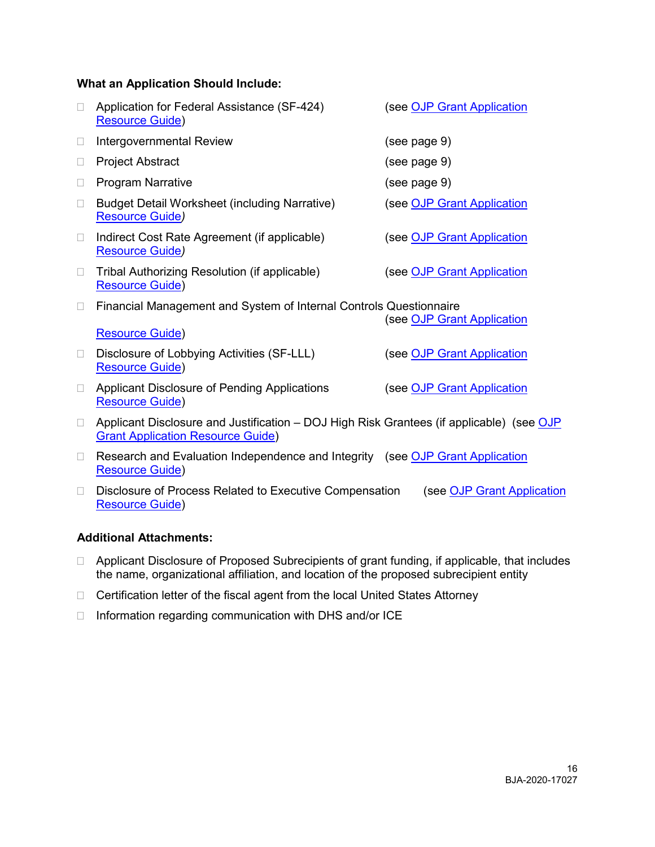#### **What an Application Should Include:**

|                | Application for Federal Assistance (SF-424)<br><b>Resource Guide)</b>                                                                | (see OJP Grant Application |
|----------------|--------------------------------------------------------------------------------------------------------------------------------------|----------------------------|
| П              | Intergovernmental Review                                                                                                             | (see page 9)               |
| $\Box$         | <b>Project Abstract</b>                                                                                                              | (see page 9)               |
| □              | <b>Program Narrative</b>                                                                                                             | (see page 9)               |
| □              | <b>Budget Detail Worksheet (including Narrative)</b><br><b>Resource Guide)</b>                                                       | (see OJP Grant Application |
| П              | Indirect Cost Rate Agreement (if applicable)<br><b>Resource Guide)</b>                                                               | (see OJP Grant Application |
| $\Box$         | Tribal Authorizing Resolution (if applicable)<br><b>Resource Guide)</b>                                                              | (see OJP Grant Application |
| $\Box$         | Financial Management and System of Internal Controls Questionnaire<br><b>Resource Guide)</b>                                         | (see OJP Grant Application |
| $\Box$         | Disclosure of Lobbying Activities (SF-LLL)<br><b>Resource Guide)</b>                                                                 | (see OJP Grant Application |
| $\Box$         | Applicant Disclosure of Pending Applications<br><b>Resource Guide)</b>                                                               | (see OJP Grant Application |
| $\Box$         | Applicant Disclosure and Justification – DOJ High Risk Grantees (if applicable) (see OJP<br><b>Grant Application Resource Guide)</b> |                            |
| $\mathbb{R}^n$ | Research and Evaluation Independence and Integrity (see OJP Grant Application<br><b>Resource Guide)</b>                              |                            |
|                | Disclosure of Process Related to Executive Compensation<br><b>Resource Guide)</b>                                                    | (see OJP Grant Application |

## **Additional Attachments:**

- □ Applicant Disclosure of Proposed Subrecipients of grant funding, if applicable, that includes the name, organizational affiliation, and location of the proposed subrecipient entity
- □ Certification letter of the fiscal agent from the local United States Attorney
- □ Information regarding communication with DHS and/or ICE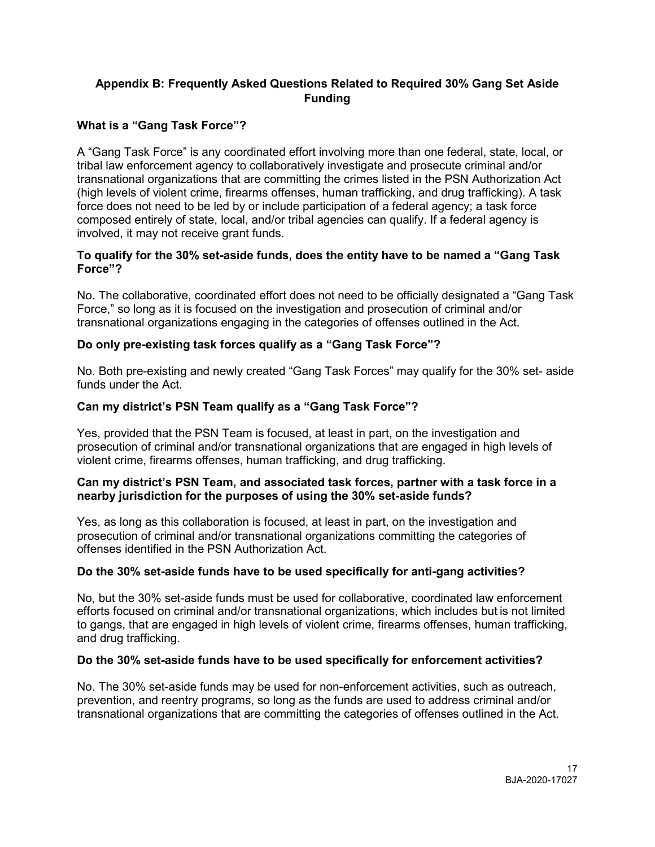## <span id="page-17-0"></span> **Appendix B: Frequently Asked Questions Related to Required 30% Gang Set Aside Funding**

## **What is a "Gang Task Force"?**

 A "Gang Task Force" is any coordinated effort involving more than one federal, state, local, or (high levels of violent crime, firearms offenses, human trafficking, and drug trafficking). A task force does not need to be led by or include participation of a federal agency; a task force tribal law enforcement agency to collaboratively investigate and prosecute criminal and/or transnational organizations that are committing the crimes listed in the PSN Authorization Act composed entirely of state, local, and/or tribal agencies can qualify. If a federal agency is involved, it may not receive grant funds.

#### **To qualify for the 30% set-aside funds, does the entity have to be named a "Gang Task Force"?**

 No. The collaborative, coordinated effort does not need to be officially designated a "Gang Task Force," so long as it is focused on the investigation and prosecution of criminal and/or transnational organizations engaging in the categories of offenses outlined in the Act.

## **Do only pre-existing task forces qualify as a "Gang Task Force"?**

 No. Both pre-existing and newly created "Gang Task Forces" may qualify for the 30% set- aside funds under the Act.

## **Can my district's PSN Team qualify as a "Gang Task Force"?**

Yes, provided that the PSN Team is focused, at least in part, on the investigation and prosecution of criminal and/or transnational organizations that are engaged in high levels of violent crime, firearms offenses, human trafficking, and drug trafficking.

#### **Can my district's PSN Team, and associated task forces, partner with a task force in a nearby jurisdiction for the purposes of using the 30% set-aside funds?**

Yes, as long as this collaboration is focused, at least in part, on the investigation and prosecution of criminal and/or transnational organizations committing the categories of offenses identified in the PSN Authorization Act.

## **Do the 30% set-aside funds have to be used specifically for anti-gang activities?**

 and drug trafficking. No, but the 30% set-aside funds must be used for collaborative, coordinated law enforcement efforts focused on criminal and/or transnational organizations, which includes but is not limited to gangs, that are engaged in high levels of violent crime, firearms offenses, human trafficking,

## **Do the 30% set-aside funds have to be used specifically for enforcement activities?**

 prevention, and reentry programs, so long as the funds are used to address criminal and/or No. The 30% set-aside funds may be used for non-enforcement activities, such as outreach, transnational organizations that are committing the categories of offenses outlined in the Act.